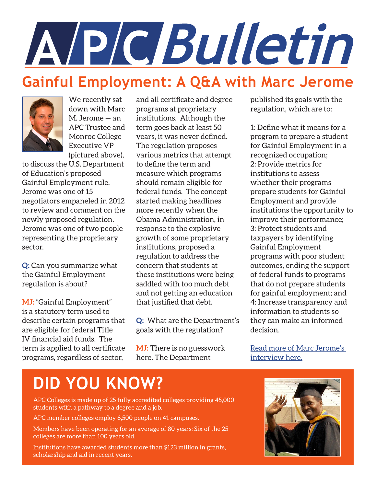

### **Gainful Employment: A Q&A with Marc Jerome**



We recently sat down with Marc M. Jerome — an APC Trustee and Monroe College Executive VP (pictured above),

to discuss the U.S. Department of Education's proposed Gainful Employment rule. Jerome was one of 15 negotiators empaneled in 2012 to review and comment on the newly proposed regulation. Jerome was one of two people representing the proprietary sector.

**Q:** Can you summarize what the Gainful Employment regulation is about?

**MJ:** "Gainful Employment" is a statutory term used to describe certain programs that are eligible for federal Title IV financial aid funds. The term is applied to all certificate programs, regardless of sector,

and all certificate and degree programs at proprietary institutions. Although the term goes back at least 50 years, it was never defined. The regulation proposes various metrics that attempt to define the term and measure which programs should remain eligible for federal funds. The concept started making headlines more recently when the Obama Administration, in response to the explosive growth of some proprietary institutions, proposed a regulation to address the concern that students at these institutions were being saddled with too much debt and not getting an education that justified that debt.

**Q:** What are the Department's goals with the regulation?

**MJ:** There is no guesswork here. The Department

published its goals with the regulation, which are to:

1: Define what it means for a program to prepare a student for Gainful Employment in a recognized occupation; 2: Provide metrics for institutions to assess whether their programs prepare students for Gainful Employment and provide institutions the opportunity to improve their performance; 3: Protect students and taxpayers by identifying Gainful Employment programs with poor student outcomes, ending the support of federal funds to programs that do not prepare students for gainful employment; and 4: Increase transparency and information to students so they can make an informed decision.

[Read more of Marc Jerome's](http://spectrum.apc-colleges.org/gainful-employment-a-qa-with-marc-jerome)  [interview here.](http://spectrum.apc-colleges.org/gainful-employment-a-qa-with-marc-jerome)

# **DID YOU KNOW?**

APC Colleges is made up of 25 fully accredited colleges providing 45,000 students with a pathway to a degree and a job.

APC member colleges employ 6,500 people on 41 campuses.

Members have been operating for an average of 80 years; Six of the 25 colleges are more than 100 years old.

Institutions have awarded students more than \$123 million in grants, scholarship and aid in recent years.